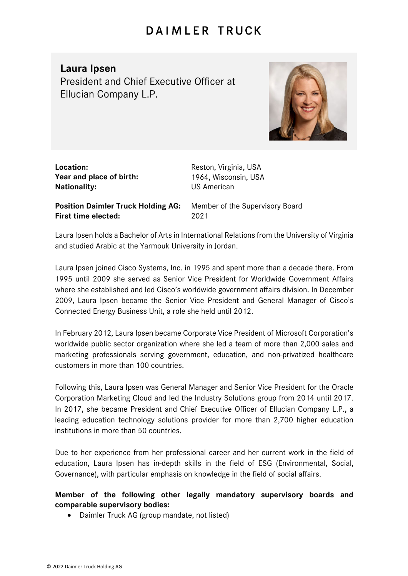## **DAIMLER TRUCK**

## **Laura Ipsen**

President and Chief Executive Officer at Ellucian Company L.P.



| Location:                |
|--------------------------|
| Year and place of birth: |
| <b>Nationality:</b>      |

**Location:** Reston, Virginia, USA **Year and place of birth:** 1964, Wisconsin, USA **NS American** 

**Position Daimler Truck Holding AG:** Member of the Supervisory Board **First time elected:** 2021

Laura Ipsen holds a Bachelor of Arts in International Relations from the University of Virginia and studied Arabic at the Yarmouk University in Jordan.

Laura Ipsen joined Cisco Systems, Inc. in 1995 and spent more than a decade there. From 1995 until 2009 she served as Senior Vice President for Worldwide Government Affairs where she established and led Cisco's worldwide government affairs division. In December 2009, Laura Ipsen became the Senior Vice President and General Manager of Cisco's Connected Energy Business Unit, a role she held until 2012.

In February 2012, Laura Ipsen became Corporate Vice President of Microsoft Corporation's worldwide public sector organization where she led a team of more than 2,000 sales and marketing professionals serving government, education, and non-privatized healthcare customers in more than 100 countries.

Following this, Laura Ipsen was General Manager and Senior Vice President for the Oracle Corporation Marketing Cloud and led the Industry Solutions group from 2014 until 2017. In 2017, she became President and Chief Executive Officer of Ellucian Company L.P., a leading education technology solutions provider for more than 2,700 higher education institutions in more than 50 countries.

Due to her experience from her professional career and her current work in the field of education, Laura Ipsen has in-depth skills in the field of ESG (Environmental, Social, Governance), with particular emphasis on knowledge in the field of social affairs.

## **Member of the following other legally mandatory supervisory boards and comparable supervisory bodies:**

• Daimler Truck AG (group mandate, not listed)